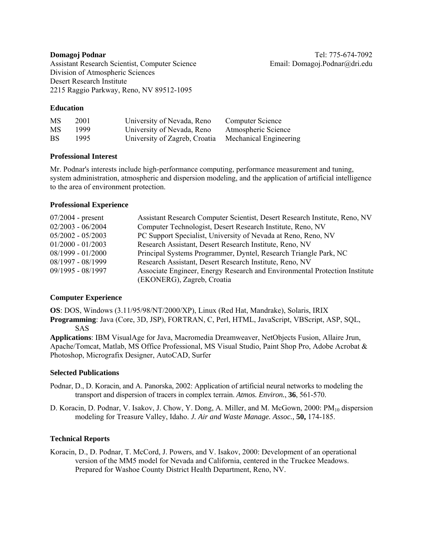Assistant Research Scientist, Computer Science Email: Domagoj.Podnar@dri.edu Division of Atmospheric Sciences Desert Research Institute 2215 Raggio Parkway, Reno, NV 89512-1095

## **Education**

| MS | 2001 | University of Nevada, Reno    | Computer Science       |
|----|------|-------------------------------|------------------------|
| MS | 1999 | University of Nevada, Reno    | Atmospheric Science    |
| BS | 1995 | University of Zagreb, Croatia | Mechanical Engineering |

## **Professional Interest**

Mr. Podnar's interests include high-performance computing, performance measurement and tuning, system administration, atmospheric and dispersion modeling, and the application of artificial intelligence to the area of environment protection.

## **Professional Experience**

| $07/2004$ - present                                                                  | Assistant Research Computer Scientist, Desert Research Institute, Reno, NV |  |
|--------------------------------------------------------------------------------------|----------------------------------------------------------------------------|--|
| $02/2003 - 06/2004$                                                                  | Computer Technologist, Desert Research Institute, Reno, NV                 |  |
| PC Support Specialist, University of Nevada at Reno, Reno, NV<br>$05/2002 - 05/2003$ |                                                                            |  |
| Research Assistant, Desert Research Institute, Reno, NV<br>$01/2000 - 01/2003$       |                                                                            |  |
| $08/1999 - 01/2000$                                                                  | Principal Systems Programmer, Dyntel, Research Triangle Park, NC           |  |
| $08/1997 - 08/1999$                                                                  | Research Assistant, Desert Research Institute, Reno, NV                    |  |
| $09/1995 - 08/1997$                                                                  | Associate Engineer, Energy Research and Environmental Protection Institute |  |
|                                                                                      | (EKONERG), Zagreb, Croatia                                                 |  |

## **Computer Experience**

**OS**: DOS, Windows (3.11/95/98/NT/2000/XP), Linux (Red Hat, Mandrake), Solaris, IRIX **Programming**: Java (Core, 3D, JSP), FORTRAN, C, Perl, HTML, JavaScript, VBScript, ASP, SQL, SAS

**Applications**: IBM VisualAge for Java, Macromedia Dreamweaver, NetObjects Fusion, Allaire Jrun, Apache/Tomcat, Matlab, MS Office Professional, MS Visual Studio, Paint Shop Pro, Adobe Acrobat & Photoshop, Micrografix Designer, AutoCAD, Surfer

## **Selected Publications**

- Podnar, D., D. Koracin, and A. Panorska, 2002: Application of artificial neural networks to modeling the transport and dispersion of tracers in complex terrain. *Atmos. Environ.*, **36**, 561-570.
- D. Koracin, D. Podnar, V. Isakov, J. Chow, Y. Dong, A. Miller, and M. McGown, 2000: PM<sub>10</sub> dispersion modeling for Treasure Valley, Idaho. *J. Air and Waste Manage. Assoc.,* **50,** 174-185.

# **Technical Reports**

Koracin, D., D. Podnar, T. McCord, J. Powers, and V. Isakov, 2000: Development of an operational version of the MM5 model for Nevada and California, centered in the Truckee Meadows. Prepared for Washoe County District Health Department, Reno, NV.

**Domagoj Podnar** Tel: 775-674-7092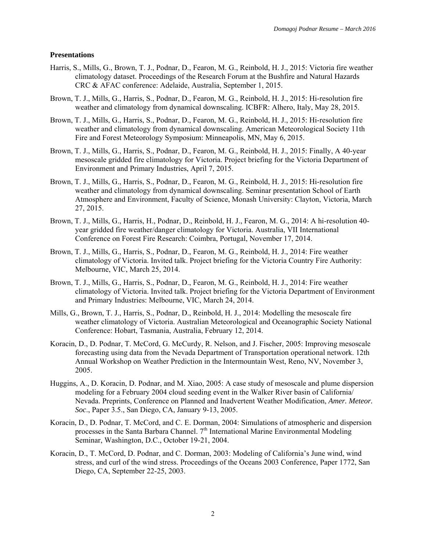#### **Presentations**

- Harris, S., Mills, G., Brown, T. J., Podnar, D., Fearon, M. G., Reinbold, H. J., 2015: Victoria fire weather climatology dataset. Proceedings of the Research Forum at the Bushfire and Natural Hazards CRC & AFAC conference: Adelaide, Australia, September 1, 2015.
- Brown, T. J., Mills, G., Harris, S., Podnar, D., Fearon, M. G., Reinbold, H. J., 2015: Hi-resolution fire weather and climatology from dynamical downscaling. ICBFR: Alhero, Italy, May 28, 2015.
- Brown, T. J., Mills, G., Harris, S., Podnar, D., Fearon, M. G., Reinbold, H. J., 2015: Hi-resolution fire weather and climatology from dynamical downscaling. American Meteorological Society 11th Fire and Forest Meteorology Symposium: Minneapolis, MN, May 6, 2015.
- Brown, T. J., Mills, G., Harris, S., Podnar, D., Fearon, M. G., Reinbold, H. J., 2015: Finally, A 40-year mesoscale gridded fire climatology for Victoria. Project briefing for the Victoria Department of Environment and Primary Industries, April 7, 2015.
- Brown, T. J., Mills, G., Harris, S., Podnar, D., Fearon, M. G., Reinbold, H. J., 2015: Hi-resolution fire weather and climatology from dynamical downscaling. Seminar presentation School of Earth Atmosphere and Environment, Faculty of Science, Monash University: Clayton, Victoria, March 27, 2015.
- Brown, T. J., Mills, G., Harris, H., Podnar, D., Reinbold, H. J., Fearon, M. G., 2014: A hi-resolution 40 year gridded fire weather/danger climatology for Victoria. Australia, VII International Conference on Forest Fire Research: Coimbra, Portugal, November 17, 2014.
- Brown, T. J., Mills, G., Harris, S., Podnar, D., Fearon, M. G., Reinbold, H. J., 2014: Fire weather climatology of Victoria. Invited talk. Project briefing for the Victoria Country Fire Authority: Melbourne, VIC, March 25, 2014.
- Brown, T. J., Mills, G., Harris, S., Podnar, D., Fearon, M. G., Reinbold, H. J., 2014: Fire weather climatology of Victoria. Invited talk. Project briefing for the Victoria Department of Environment and Primary Industries: Melbourne, VIC, March 24, 2014.
- Mills, G., Brown, T. J., Harris, S., Podnar, D., Reinbold, H. J., 2014: Modelling the mesoscale fire weather climatology of Victoria. Australian Meteorological and Oceanographic Society National Conference: Hobart, Tasmania, Australia, February 12, 2014.
- Koracin, D., D. Podnar, T. McCord, G. McCurdy, R. Nelson, and J. Fischer, 2005: Improving mesoscale forecasting using data from the Nevada Department of Transportation operational network. 12th Annual Workshop on Weather Prediction in the Intermountain West, Reno, NV, November 3, 2005.
- Huggins, A., D. Koracin, D. Podnar, and M. Xiao, 2005: A case study of mesoscale and plume dispersion modeling for a February 2004 cloud seeding event in the Walker River basin of California/ Nevada. Preprints, Conference on Planned and Inadvertent Weather Modification, *Amer. Meteor. Soc*., Paper 3.5., San Diego, CA, January 9-13, 2005.
- Koracin, D., D. Podnar, T. McCord, and C. E. Dorman, 2004: Simulations of atmospheric and dispersion processes in the Santa Barbara Channel. 7<sup>th</sup> International Marine Environmental Modeling Seminar, Washington, D.C., October 19-21, 2004.
- Koracin, D., T. McCord, D. Podnar, and C. Dorman, 2003: Modeling of California's June wind, wind stress, and curl of the wind stress. Proceedings of the Oceans 2003 Conference, Paper 1772, San Diego, CA, September 22-25, 2003.